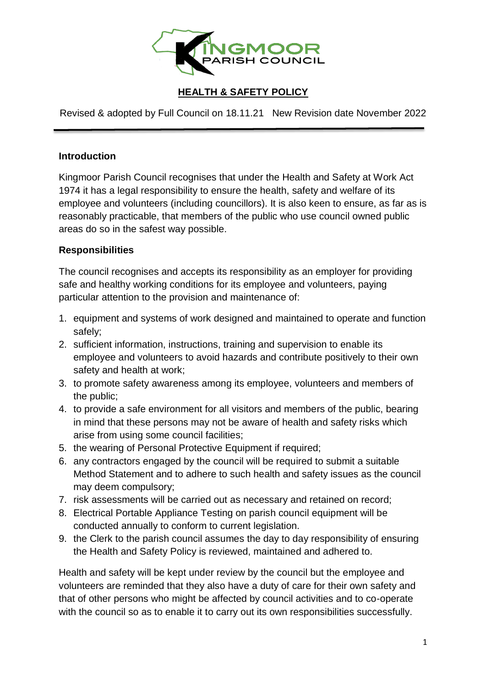

## **HEALTH & SAFETY POLICY**

Revised & adopted by Full Council on 18.11.21 New Revision date November 2022

## **Introduction**

Kingmoor Parish Council recognises that under the Health and Safety at Work Act 1974 it has a legal responsibility to ensure the health, safety and welfare of its employee and volunteers (including councillors). It is also keen to ensure, as far as is reasonably practicable, that members of the public who use council owned public areas do so in the safest way possible.

## **Responsibilities**

The council recognises and accepts its responsibility as an employer for providing safe and healthy working conditions for its employee and volunteers, paying particular attention to the provision and maintenance of:

- 1. equipment and systems of work designed and maintained to operate and function safely;
- 2. sufficient information, instructions, training and supervision to enable its employee and volunteers to avoid hazards and contribute positively to their own safety and health at work;
- 3. to promote safety awareness among its employee, volunteers and members of the public;
- 4. to provide a safe environment for all visitors and members of the public, bearing in mind that these persons may not be aware of health and safety risks which arise from using some council facilities;
- 5. the wearing of Personal Protective Equipment if required;
- 6. any contractors engaged by the council will be required to submit a suitable Method Statement and to adhere to such health and safety issues as the council may deem compulsory;
- 7. risk assessments will be carried out as necessary and retained on record;
- 8. Electrical Portable Appliance Testing on parish council equipment will be conducted annually to conform to current legislation.
- 9. the Clerk to the parish council assumes the day to day responsibility of ensuring the Health and Safety Policy is reviewed, maintained and adhered to.

Health and safety will be kept under review by the council but the employee and volunteers are reminded that they also have a duty of care for their own safety and that of other persons who might be affected by council activities and to co-operate with the council so as to enable it to carry out its own responsibilities successfully.